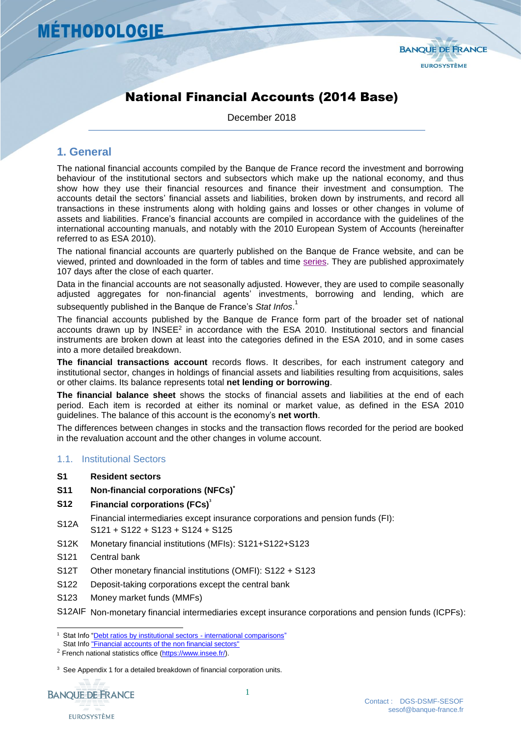

# National Financial Accounts (2014 Base)

December 2018

### **1. General**

The national financial accounts compiled by the Banque de France record the investment and borrowing behaviour of the institutional sectors and subsectors which make up the national economy, and thus show how they use their financial resources and finance their investment and consumption. The accounts detail the sectors' financial assets and liabilities, broken down by instruments, and record all transactions in these instruments along with holding gains and losses or other changes in volume of assets and liabilities. France's financial accounts are compiled in accordance with the guidelines of the international accounting manuals, and notably with the 2010 European System of Accounts (hereinafter referred to as ESA 2010).

<span id="page-0-0"></span>The national financial accounts are quarterly published on the Banque de France website, and can be viewed, printed and downloaded in the form of tables and time [series.](http://webstat.banque-france.fr/ws_wsen/downloadFile.do?id=51052) They are published approximately 107 days after the close of each quarter.

Data in the financial accounts are not seasonally adjusted. However, they are used to compile seasonally adjusted aggregates for non-financial agents' investments, borrowing and lending, which are subsequently published in the Banque de France's *Stat Infos*. 1

The financial accounts published by the Banque de France form part of the broader set of national accounts drawn up by INSEE<sup>2</sup> in accordance with the ESA 2010. Institutional sectors and financial instruments are broken down at least into the categories defined in the ESA 2010, and in some cases into a more detailed breakdown.

**The financial transactions account** records flows. It describes, for each instrument category and institutional sector, changes in holdings of financial assets and liabilities resulting from acquisitions, sales or other claims. Its balance represents total **net lending or borrowing**.

**The financial balance sheet** shows the stocks of financial assets and liabilities at the end of each period. Each item is recorded at either its nominal or market value, as defined in the ESA 2010 guidelines. The balance of this account is the economy's **net worth**.

The differences between changes in stocks and the transaction flows recorded for the period are booked in the revaluation account and the other changes in volume account.

#### 1.1. Institutional Sectors

- **S1 Resident sectors**
- **S11 Non-financial corporations (NFCs) \***
- **S12 Financial corporations (FCs) 3**
- S12A Financial intermediaries except insurance corporations and pension funds (FI):
- S121 + S122 + S123 + S124 + S125
- S12K Monetary financial institutions (MFIs): S121+S122+S123
- S121 Central bank
- S12T Other monetary financial institutions (OMFI): S122 + S123
- S122 Deposit-taking corporations except the central bank
- S123 Money market funds (MMFs)

S12AIF Non-monetary financial intermediaries except insurance corporations and pension funds (ICPFs):

<sup>&</sup>lt;sup>3</sup> See Appendix 1 for a detailed breakdown of financial corporation units.



l Stat Info ["Debt ratios by institutional sectors -](https://www.banque-france.fr/en/statistics/loans/debt-and-securities/debt-ratios-intitutional-sectors-international-comparisons) international comparisons'

Stat Inf[o "Financial accounts of the non financial sectors"](https://www.banque-france.fr/en/statistics/savings/financial-accounts/financial-accounts/financial-accounts-non-financial-sectors)

 $2$  French national statistics office ( $\frac{https://www.insee.fr/)}{https://www.insee.fr/)}$ .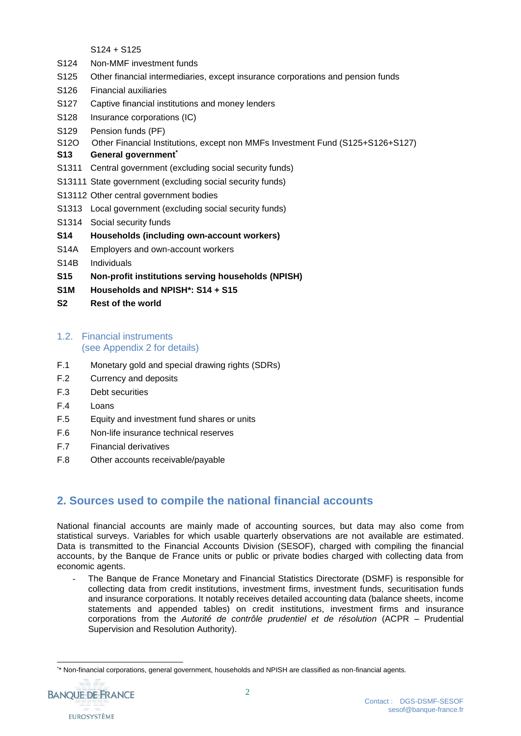S124 + S125

- S124 Non-MMF investment funds
- S125 Other financial intermediaries, except insurance corporations and pension funds
- S126 Financial auxiliaries
- S127 Captive financial institutions and money lenders
- S128 Insurance corporations (IC)
- S129 Pension funds (PF)
- S12O Other Financial Institutions, except non MMFs Investment Fund (S125+S126+S127)
- **S13 General government\***
- S1311 Central government (excluding social security funds)
- S13111 State government (excluding social security funds)
- S13112 Other central government bodies
- S1313 Local government (excluding social security funds)
- S1314 Social security funds
- **S14 Households (including own-account workers)**
- S14A Employers and own-account workers
- S14B Individuals
- **S15 Non-profit institutions serving households (NPISH)**
- **S1M Households and NPISH\*: S14 + S15**
- **S2 Rest of the world**

#### 1.2. Financial instruments (see Appendix 2 for details)

- F.1 Monetary gold and special drawing rights (SDRs)
- F.2 Currency and deposits
- F.3 Debt securities
- F.4 Loans
- F.5 Equity and investment fund shares or units
- F.6 Non-life insurance technical reserves
- F.7 Financial derivatives
- F.8 Other accounts receivable/payable

## **2. Sources used to compile the national financial accounts**

National financial accounts are mainly made of accounting sources, but data may also come from statistical surveys. Variables for which usable quarterly observations are not available are estimated. Data is transmitted to the Financial Accounts Division (SESOF), charged with compiling the financial accounts, by the Banque de France units or public or private bodies charged with collecting data from economic agents.

The Banque de France Monetary and Financial Statistics Directorate (DSMF) is responsible for collecting data from credit institutions, investment firms, investment funds, securitisation funds and insurance corporations. It notably receives detailed accounting data (balance sheets, income statements and appended tables) on credit institutions, investment firms and insurance corporations from the *Autorité de contrôle prudentiel et de résolution* (ACPR – Prudential Supervision and Resolution Authority).

l \* \* Non-financial corporations, general government, households and NPISH are classified as non-financial agents.

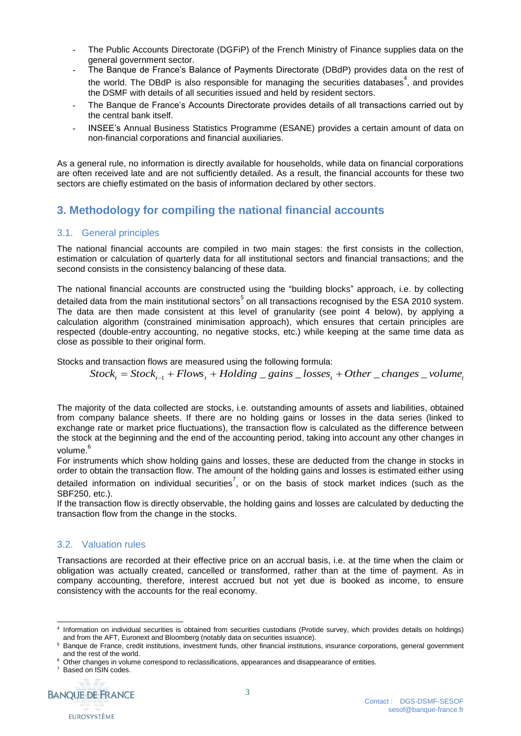- The Public Accounts Directorate (DGFiP) of the French Ministry of Finance supplies data on the general government sector.
- The Banque de France's Balance of Payments Directorate (DBdP) provides data on the rest of the world. The DBdP is also responsible for managing the securities databases<sup>4</sup>, and provides the DSMF with details of all securities issued and held by resident sectors.
- The Banque de France's Accounts Directorate provides details of all transactions carried out by the central bank itself.
- INSEE's Annual Business Statistics Programme (ESANE) provides a certain amount of data on non-financial corporations and financial auxiliaries.

As a general rule, no information is directly available for households, while data on financial corporations are often received late and are not sufficiently detailed. As a result, the financial accounts for these two sectors are chiefly estimated on the basis of information declared by other sectors.

## **3. Methodology for compiling the national financial accounts**

#### 3.1. General principles

The national financial accounts are compiled in two main stages: the first consists in the collection, estimation or calculation of quarterly data for all institutional sectors and financial transactions; and the second consists in the consistency balancing of these data.

The national financial accounts are constructed using the "building blocks" approach, i.e. by collecting detailed data from the main institutional sectors<sup>5</sup> on all transactions recognised by the ESA 2010 system. The data are then made consistent at this level of granularity (see point 4 below), by applying a calculation algorithm (constrained minimisation approach), which ensures that certain principles are respected (double-entry accounting, no negative stocks, etc.) while keeping at the same time data as close as possible to their original form.

Stocks and transaction flows are measured using the following formula:

 $Stock_t = Stock_{t-1} + Flows_t + Holding = gains\_losses_t + Other\_changes\_volume_t$ 

The majority of the data collected are stocks, i.e. outstanding amounts of assets and liabilities, obtained from company balance sheets. If there are no holding gains or losses in the data series (linked to exchange rate or market price fluctuations), the transaction flow is calculated as the difference between the stock at the beginning and the end of the accounting period, taking into account any other changes in volume.<sup>6</sup>

For instruments which show holding gains and losses, these are deducted from the change in stocks in order to obtain the transaction flow. The amount of the holding gains and losses is estimated either using detailed information on individual securities<sup>7</sup>, or on the basis of stock market indices (such as the SBF250, etc.).

If the transaction flow is directly observable, the holding gains and losses are calculated by deducting the transaction flow from the change in the stocks.

#### 3.2. Valuation rules

Transactions are recorded at their effective price on an accrual basis, i.e. at the time when the claim or obligation was actually created, cancelled or transformed, rather than at the time of payment. As in company accounting, therefore, interest accrued but not yet due is booked as income, to ensure consistency with the accounts for the real economy.

<sup>&</sup>lt;sup>7</sup> Based on ISIN codes.



l 4 Information on individual securities is obtained from securities custodians (Protide survey, which provides details on holdings) and from the AFT, Euronext and Bloomberg (notably data on securities issuance).

<sup>5</sup> Banque de France, credit institutions, investment funds, other financial institutions, insurance corporations, general government and the rest of the world.

<sup>&</sup>lt;sup>6</sup> Other changes in volume correspond to reclassifications, appearances and disappearance of entities.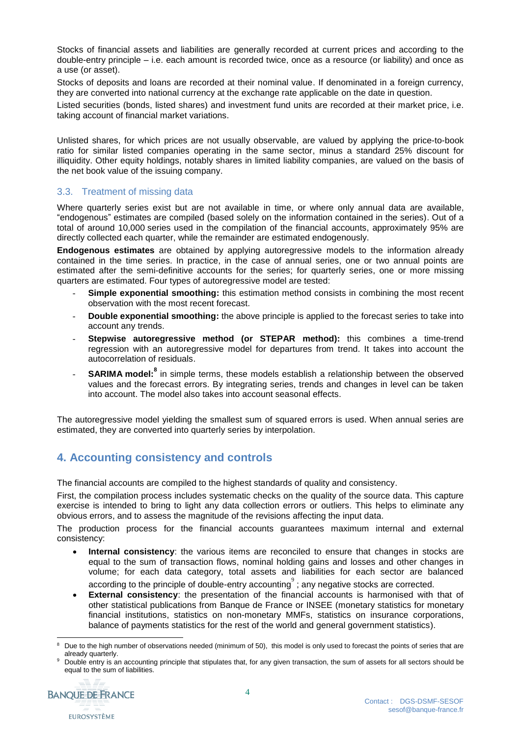Stocks of financial assets and liabilities are generally recorded at current prices and according to the double-entry principle – i.e. each amount is recorded twice, once as a resource (or liability) and once as a use (or asset).

Stocks of deposits and loans are recorded at their nominal value. If denominated in a foreign currency, they are converted into national currency at the exchange rate applicable on the date in question.

Listed securities (bonds, listed shares) and investment fund units are recorded at their market price, i.e. taking account of financial market variations.

Unlisted shares, for which prices are not usually observable, are valued by applying the price-to-book ratio for similar listed companies operating in the same sector, minus a standard 25% discount for illiquidity. Other equity holdings, notably shares in limited liability companies, are valued on the basis of the net book value of the issuing company.

#### 3.3. Treatment of missing data

Where quarterly series exist but are not available in time, or where only annual data are available, "endogenous" estimates are compiled (based solely on the information contained in the series). Out of a total of around 10,000 series used in the compilation of the financial accounts, approximately 95% are directly collected each quarter, while the remainder are estimated endogenously.

**Endogenous estimates** are obtained by applying autoregressive models to the information already contained in the time series. In practice, in the case of annual series, one or two annual points are estimated after the semi-definitive accounts for the series; for quarterly series, one or more missing quarters are estimated. Four types of autoregressive model are tested:

- **Simple exponential smoothing:** this estimation method consists in combining the most recent observation with the most recent forecast.
- **Double exponential smoothing:** the above principle is applied to the forecast series to take into account any trends.
- **Stepwise autoregressive method (or STEPAR method):** this combines a time-trend regression with an autoregressive model for departures from trend. It takes into account the autocorrelation of residuals.
- **SARIMA model:**<sup>8</sup> in simple terms, these models establish a relationship between the observed values and the forecast errors. By integrating series, trends and changes in level can be taken into account. The model also takes into account seasonal effects.

The autoregressive model yielding the smallest sum of squared errors is used. When annual series are estimated, they are converted into quarterly series by interpolation.

## **4. Accounting consistency and controls**

The financial accounts are compiled to the highest standards of quality and consistency.

First, the compilation process includes systematic checks on the quality of the source data. This capture exercise is intended to bring to light any data collection errors or outliers. This helps to eliminate any obvious errors, and to assess the magnitude of the revisions affecting the input data.

The production process for the financial accounts guarantees maximum internal and external consistency:

- **Internal consistency**: the various items are reconciled to ensure that changes in stocks are equal to the sum of transaction flows, nominal holding gains and losses and other changes in volume; for each data category, total assets and liabilities for each sector are balanced according to the principle of double-entry accounting $^\circ$  ; any negative stocks are corrected.
- **External consistency**: the presentation of the financial accounts is harmonised with that of other statistical publications from Banque de France or INSEE (monetary statistics for monetary financial institutions, statistics on non-monetary MMFs, statistics on insurance corporations, balance of payments statistics for the rest of the world and general government statistics).

Double entry is an accounting principle that stipulates that, for any given transaction, the sum of assets for all sectors should be equal to the sum of liabilities.



l Due to the high number of observations needed (minimum of 50), this model is only used to forecast the points of series that are already quarterly.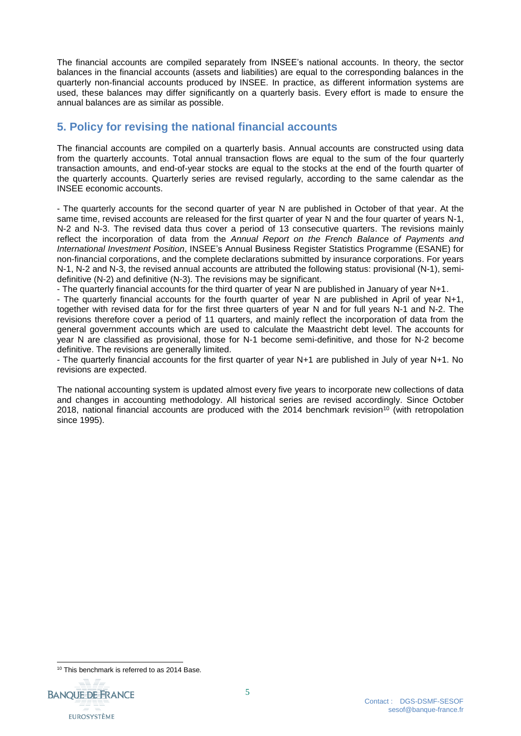The financial accounts are compiled separately from INSEE's national accounts. In theory, the sector balances in the financial accounts (assets and liabilities) are equal to the corresponding balances in the quarterly non-financial accounts produced by INSEE. In practice, as different information systems are used, these balances may differ significantly on a quarterly basis. Every effort is made to ensure the annual balances are as similar as possible.

## **5. Policy for revising the national financial accounts**

The financial accounts are compiled on a quarterly basis. Annual accounts are constructed using data from the quarterly accounts. Total annual transaction flows are equal to the sum of the four quarterly transaction amounts, and end-of-year stocks are equal to the stocks at the end of the fourth quarter of the quarterly accounts. Quarterly series are revised regularly, according to the same calendar as the INSEE economic accounts.

- The quarterly accounts for the second quarter of year N are published in October of that year. At the same time, revised accounts are released for the first quarter of year N and the four quarter of years N-1, N-2 and N-3. The revised data thus cover a period of 13 consecutive quarters. The revisions mainly reflect the incorporation of data from the *Annual Report on the French Balance of Payments and International Investment Position*, INSEE's Annual Business Register Statistics Programme (ESANE) for non-financial corporations, and the complete declarations submitted by insurance corporations. For years N-1, N-2 and N-3, the revised annual accounts are attributed the following status: provisional (N-1), semidefinitive (N-2) and definitive (N-3). The revisions may be significant.

- The quarterly financial accounts for the third quarter of year N are published in January of year N+1.

- The quarterly financial accounts for the fourth quarter of year N are published in April of year N+1, together with revised data for for the first three quarters of year N and for full years N-1 and N-2. The revisions therefore cover a period of 11 quarters, and mainly reflect the incorporation of data from the general government accounts which are used to calculate the Maastricht debt level. The accounts for year N are classified as provisional, those for N-1 become semi-definitive, and those for N-2 become definitive. The revisions are generally limited.

- The quarterly financial accounts for the first quarter of year N+1 are published in July of year N+1. No revisions are expected.

The national accounting system is updated almost every five years to incorporate new collections of data and changes in accounting methodology. All historical series are revised accordingly. Since October 2018, national financial accounts are produced with the 2014 benchmark revision<sup>10</sup> (with retropolation since 1995).

<sup>&</sup>lt;sup>10</sup> This benchmark is referred to as 2014 Base.



l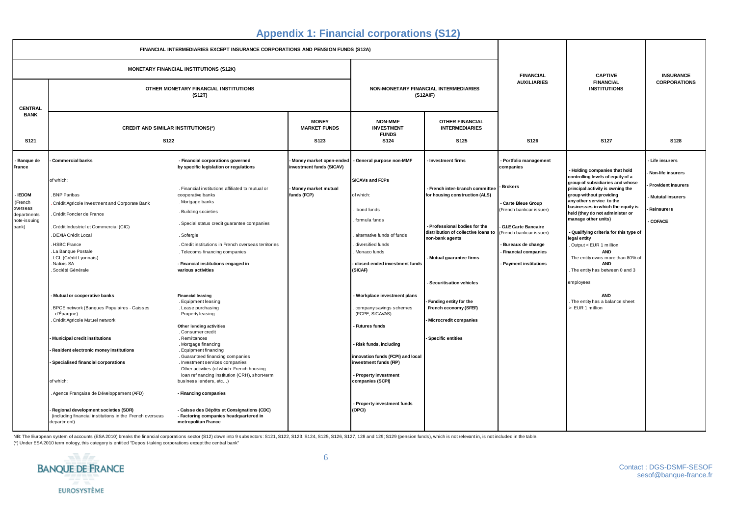### **Appendix 1: Financial corporations (S12)**

| FINANCIAL INTERMEDIARIES EXCEPT INSURANCE CORPORATIONS AND PENSION FUNDS (S12A)                    |                                                                                                                                                                                                                                                                                                                                                                                                                                                                                                                                                                     |                                                                                                                                                                                                                                                                                                                                                                                                                                                                                                                                                                                                                                                                                                                                                                                                                                           |                                                                                           |                                                                                                                                                                                                                                                                                                                                                                                                                                                     |                                                                                                                                                                                                                                                                                                                                                 |                                                                                                                                                                                                                                                 |                                                                                                                                                                                                                                                                                                                                                                                                                                                                                                                                                                          |                                                                                                                           |
|----------------------------------------------------------------------------------------------------|---------------------------------------------------------------------------------------------------------------------------------------------------------------------------------------------------------------------------------------------------------------------------------------------------------------------------------------------------------------------------------------------------------------------------------------------------------------------------------------------------------------------------------------------------------------------|-------------------------------------------------------------------------------------------------------------------------------------------------------------------------------------------------------------------------------------------------------------------------------------------------------------------------------------------------------------------------------------------------------------------------------------------------------------------------------------------------------------------------------------------------------------------------------------------------------------------------------------------------------------------------------------------------------------------------------------------------------------------------------------------------------------------------------------------|-------------------------------------------------------------------------------------------|-----------------------------------------------------------------------------------------------------------------------------------------------------------------------------------------------------------------------------------------------------------------------------------------------------------------------------------------------------------------------------------------------------------------------------------------------------|-------------------------------------------------------------------------------------------------------------------------------------------------------------------------------------------------------------------------------------------------------------------------------------------------------------------------------------------------|-------------------------------------------------------------------------------------------------------------------------------------------------------------------------------------------------------------------------------------------------|--------------------------------------------------------------------------------------------------------------------------------------------------------------------------------------------------------------------------------------------------------------------------------------------------------------------------------------------------------------------------------------------------------------------------------------------------------------------------------------------------------------------------------------------------------------------------|---------------------------------------------------------------------------------------------------------------------------|
| MONETARY FINANCIAL INSTITUTIONS (S12K)                                                             |                                                                                                                                                                                                                                                                                                                                                                                                                                                                                                                                                                     |                                                                                                                                                                                                                                                                                                                                                                                                                                                                                                                                                                                                                                                                                                                                                                                                                                           |                                                                                           |                                                                                                                                                                                                                                                                                                                                                                                                                                                     | <b>FINANCIAL</b>                                                                                                                                                                                                                                                                                                                                | <b>CAPTIVE</b>                                                                                                                                                                                                                                  | <b>INSURANCE</b>                                                                                                                                                                                                                                                                                                                                                                                                                                                                                                                                                         |                                                                                                                           |
| <b>CENTRAL</b>                                                                                     | OTHER MONETARY FINANCIAL INSTITUTIONS<br>(S12T)                                                                                                                                                                                                                                                                                                                                                                                                                                                                                                                     |                                                                                                                                                                                                                                                                                                                                                                                                                                                                                                                                                                                                                                                                                                                                                                                                                                           | NON-MONETARY FINANCIAL INTERMEDIARIES<br>(S12AIF)                                         |                                                                                                                                                                                                                                                                                                                                                                                                                                                     |                                                                                                                                                                                                                                                                                                                                                 | <b>AUXILIARIES</b>                                                                                                                                                                                                                              | <b>FINANCIAL</b><br><b>INSTITUTIONS</b>                                                                                                                                                                                                                                                                                                                                                                                                                                                                                                                                  | <b>CORPORATIONS</b>                                                                                                       |
| <b>BANK</b><br>S <sub>121</sub>                                                                    | <b>CREDIT AND SIMILAR INSTITUTIONS(*)</b><br><b>S122</b>                                                                                                                                                                                                                                                                                                                                                                                                                                                                                                            |                                                                                                                                                                                                                                                                                                                                                                                                                                                                                                                                                                                                                                                                                                                                                                                                                                           | <b>MONEY</b><br><b>MARKET FUNDS</b><br>S <sub>123</sub>                                   | <b>NON-MMF</b><br><b>INVESTMENT</b><br><b>FUNDS</b><br>S124                                                                                                                                                                                                                                                                                                                                                                                         | <b>OTHER FINANCIAL</b><br><b>INTERMEDIARIES</b><br>S <sub>125</sub>                                                                                                                                                                                                                                                                             | S126                                                                                                                                                                                                                                            | <b>S127</b>                                                                                                                                                                                                                                                                                                                                                                                                                                                                                                                                                              | S128                                                                                                                      |
| Banque de<br>France<br><b>IEDOM</b><br>(French<br>overseas<br>departments<br>note-issuing<br>bank) | <b>Commercial banks</b><br>of which:<br>. BNP Paribas<br>Crédit Agricole Investment and Corporate Bank<br>Crédit Foncier de France<br>. Crédit Industriel et Commercial (CIC)<br>. DEXIA Crédit Local<br>HSBC France<br>La Banque Postale<br>. LCL (Crédit Lyonnais)<br>. Natixis SA<br>Société Générale<br>Mutual or cooperative banks<br>BPCE network (Banques Populaires - Caisses<br>d'Épargne)<br>Crédit Agricole Mutuel network<br>Municipal credit institutions<br>Resident electronic money institutions<br>Specialised financial corporations<br>of which: | - Financial corporations governed<br>by specific legislation or regulations<br>. Financial institutions affiliated to mutual or<br>cooperative banks<br>. Mortgage banks<br>. Building societies<br>. Special status credit guarantee companies<br>. Sofergie<br>. Credit institutions in French overseas territories<br>. Telecoms financing companies<br>- Financial institutions engaged in<br>various activities<br><b>Financial leasing</b><br>. Equipment leasing<br>. Lease purchasing<br>. Property leasing<br>Other lending activities<br>. Consumer credit<br>. Remittances<br>. Mortgage financing<br>. Equipment financing<br>. Guaranteed financing companies<br>. Investment services companies<br>. Other activities (of which: French housing<br>loan refinancing institution (CRH), short-term<br>business lenders, etc) | Money market open-ended<br>investment funds (SICAV)<br>Money market mutual<br>funds (FCP) | General purpose non-MMF<br><b>SICAVs and FCPs</b><br>of which:<br>bond funds<br>formula funds<br>alternative funds of funds<br>diversified funds<br>Monaco funds<br>closed-ended investment funds<br>(SICAF)<br>Workplace investment plans<br>company savings schemes<br>(FCPE, SICAVAS)<br><b>Futures funds</b><br>Risk funds, including<br>innovation funds (FCPI) and local<br>investment funds (FIP)<br>Property investment<br>companies (SCPI) | Investment firms<br>- French inter-branch committee<br>for housing construction (ALS)<br>- Professional bodies for the<br>distribution of collective loans to<br>non-bank agents<br>Mutual guarantee firms<br><b>Securitisation vehicles</b><br>Funding entity for the<br>French economy (SFEF)<br>- Microcredit companies<br>Specific entities | Portfolio management<br>companies<br><b>Brokers</b><br>Carte Bleue Group<br>(French bankcar issuer)<br><b>G.I.E Carte Bancaire</b><br>(French bankcar issuer)<br>Bureaux de change<br><b>Financial companies</b><br><b>Payment institutions</b> | <b>Holding companies that hold</b><br>controlling levels of equity of a<br>group of subsidiaries and whose<br>principal activity is owning the<br>group without providing<br>any other service to the<br>businesses in which the equity is<br>held (they do not administer or<br>manage other units)<br>Qualifying criteria for this type of<br>legal entity<br>Output < EUR 1 million<br><b>AND</b><br>The entity owns more than 80% of<br><b>AND</b><br>The entity has between 0 and 3<br>employees<br><b>AND</b><br>The entity has a balance sheet<br>> EUR 1 million | Life insurers<br>Non-life insurers<br><b>Provident insurers</b><br><b>Mututal insurers</b><br>Reinsurers<br><b>COFACE</b> |
|                                                                                                    | Agence Française de Développement (AFD)<br>Regional development societies (SDR)<br>(including financial institutions in the French overseas<br>department)                                                                                                                                                                                                                                                                                                                                                                                                          | - Financing companies<br>- Caisse des Dépôts et Consignations (CDC)<br>- Factoring companies headquartered in<br>metropolitan France                                                                                                                                                                                                                                                                                                                                                                                                                                                                                                                                                                                                                                                                                                      |                                                                                           | Property investment funds<br>(OPCI)                                                                                                                                                                                                                                                                                                                                                                                                                 |                                                                                                                                                                                                                                                                                                                                                 |                                                                                                                                                                                                                                                 |                                                                                                                                                                                                                                                                                                                                                                                                                                                                                                                                                                          |                                                                                                                           |

NB: The European system of accounts (ESA 2010) breaks the financial corporations sector (S12) down into 9 subsectors: S121, S122, S123, S124, S125, S126, S127, 128 and 129; S129 (pension funds), which is not relevant in, i

(\*) Under ESA 2010 terminology, this category is entitled "Deposit-taking corporations except the central bank"

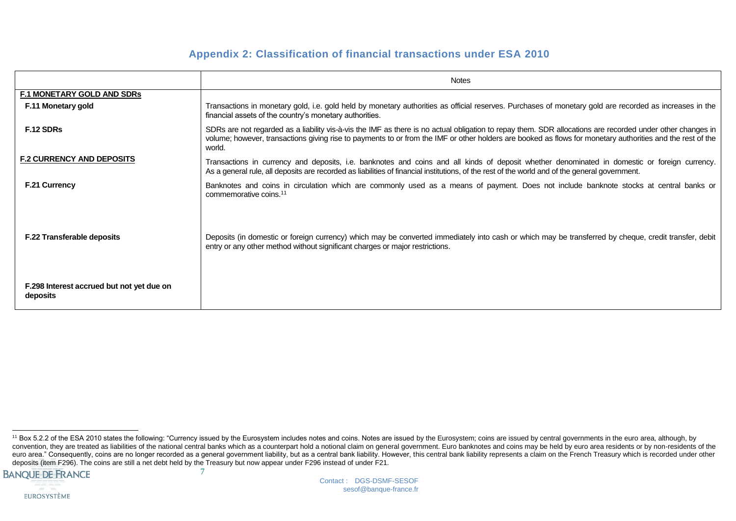### **Appendix 2: Classification of financial transactions under ESA 2010**

|                                                       | <b>Notes</b>                                                                                                                                                                                                                                                                                                                       |
|-------------------------------------------------------|------------------------------------------------------------------------------------------------------------------------------------------------------------------------------------------------------------------------------------------------------------------------------------------------------------------------------------|
| <b>F.1 MONETARY GOLD AND SDRs</b>                     |                                                                                                                                                                                                                                                                                                                                    |
| F.11 Monetary gold                                    | Transactions in monetary gold, i.e. gold held by monetary authorities as official reserves. Purchases of monetary gold are recorded as increases in the<br>financial assets of the country's monetary authorities.                                                                                                                 |
| F.12 SDRs                                             | SDRs are not regarded as a liability vis-à-vis the IMF as there is no actual obligation to repay them. SDR allocations are recorded under other changes in<br>volume; however, transactions giving rise to payments to or from the IMF or other holders are booked as flows for monetary authorities and the rest of the<br>world. |
| <b>F.2 CURRENCY AND DEPOSITS</b>                      | Transactions in currency and deposits, i.e. banknotes and coins and all kinds of deposit whether denominated in domestic or foreign currency.<br>As a general rule, all deposits are recorded as liabilities of financial institutions, of the rest of the world and of the general government.                                    |
| <b>F.21 Currency</b>                                  | Banknotes and coins in circulation which are commonly used as a means of payment. Does not include banknote stocks at central banks or<br>commemorative coins. <sup>11</sup>                                                                                                                                                       |
| <b>F.22 Transferable deposits</b>                     | Deposits (in domestic or foreign currency) which may be converted immediately into cash or which may be transferred by cheque, credit transfer, debit<br>entry or any other method without significant charges or major restrictions.                                                                                              |
| F.298 Interest accrued but not yet due on<br>deposits |                                                                                                                                                                                                                                                                                                                                    |

<sup>7</sup> l <sup>11</sup> Box 5.2.2 of the ESA 2010 states the following: "Currency issued by the Eurosystem includes notes and coins. Notes are issued by the Eurosystem; coins are issued by central governments in the euro area, although, by convention, they are treated as liabilities of the national central banks which as a counterpart hold a notional claim on general government. Euro banknotes and coins may be held by euro area residents or by non-residents euro area." Consequently, coins are no longer recorded as a general government liability, but as a central bank liability. However, this central bank liability represents a claim on the French Treasury which is recorded un deposits (item F296). The coins are still a net debt held by the Treasury but now appear under F296 instead of under F21.

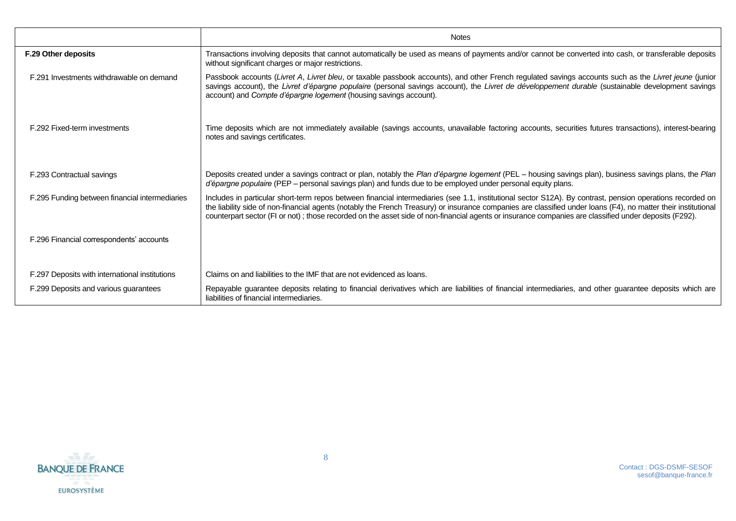|                                                | <b>Notes</b>                                                                                                                                                                                                                                                                                                                                                                                                                                                                          |
|------------------------------------------------|---------------------------------------------------------------------------------------------------------------------------------------------------------------------------------------------------------------------------------------------------------------------------------------------------------------------------------------------------------------------------------------------------------------------------------------------------------------------------------------|
| F.29 Other deposits                            | Transactions involving deposits that cannot automatically be used as means of payments and/or cannot be converted into cash, or transferable deposits<br>without significant charges or major restrictions.                                                                                                                                                                                                                                                                           |
| F.291 Investments withdrawable on demand       | Passbook accounts (Livret A, Livret bleu, or taxable passbook accounts), and other French regulated savings accounts such as the Livret jeune (junior<br>savings account), the Livret d'épargne populaire (personal savings account), the Livret de développement durable (sustainable development savings<br>account) and Compte d'épargne logement (housing savings account).                                                                                                       |
| F.292 Fixed-term investments                   | Time deposits which are not immediately available (savings accounts, unavailable factoring accounts, securities futures transactions), interest-bearing<br>notes and savings certificates.                                                                                                                                                                                                                                                                                            |
| F.293 Contractual savings                      | Deposits created under a savings contract or plan, notably the Plan d'épargne logement (PEL - housing savings plan), business savings plans, the Plan<br>d'épargne populaire (PEP - personal savings plan) and funds due to be employed under personal equity plans.                                                                                                                                                                                                                  |
| F.295 Funding between financial intermediaries | Includes in particular short-term repos between financial intermediaries (see 1.1, institutional sector S12A). By contrast, pension operations recorded on<br>the liability side of non-financial agents (notably the French Treasury) or insurance companies are classified under loans (F4), no matter their institutional<br>counterpart sector (FI or not); those recorded on the asset side of non-financial agents or insurance companies are classified under deposits (F292). |
| F.296 Financial correspondents' accounts       |                                                                                                                                                                                                                                                                                                                                                                                                                                                                                       |
| F.297 Deposits with international institutions | Claims on and liabilities to the IMF that are not evidenced as loans.                                                                                                                                                                                                                                                                                                                                                                                                                 |
| F.299 Deposits and various guarantees          | Repayable guarantee deposits relating to financial derivatives which are liabilities of financial intermediaries, and other guarantee deposits which are<br>liabilities of financial intermediaries.                                                                                                                                                                                                                                                                                  |

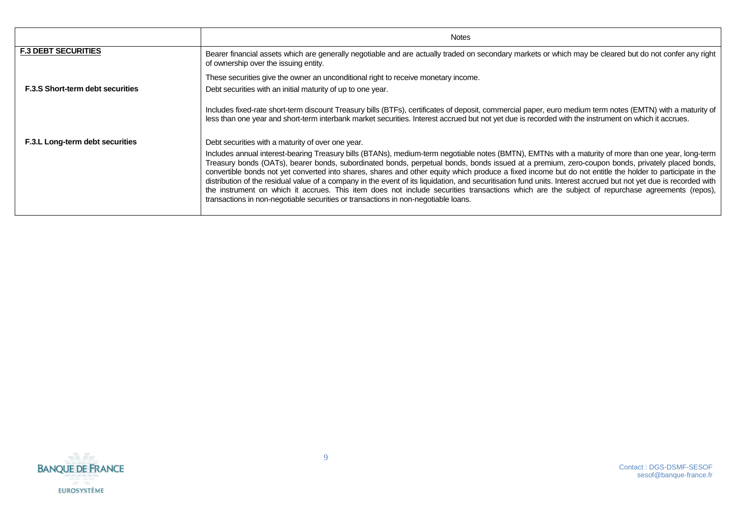|                                         | <b>Notes</b>                                                                                                                                                                                                                                                                                                                                                                                                                                                                                                                                                                                                                                                                                                                                                                                                                                                                      |
|-----------------------------------------|-----------------------------------------------------------------------------------------------------------------------------------------------------------------------------------------------------------------------------------------------------------------------------------------------------------------------------------------------------------------------------------------------------------------------------------------------------------------------------------------------------------------------------------------------------------------------------------------------------------------------------------------------------------------------------------------------------------------------------------------------------------------------------------------------------------------------------------------------------------------------------------|
| <b>F.3 DEBT SECURITIES</b>              | Bearer financial assets which are generally negotiable and are actually traded on secondary markets or which may be cleared but do not confer any right<br>of ownership over the issuing entity.                                                                                                                                                                                                                                                                                                                                                                                                                                                                                                                                                                                                                                                                                  |
|                                         | These securities give the owner an unconditional right to receive monetary income.                                                                                                                                                                                                                                                                                                                                                                                                                                                                                                                                                                                                                                                                                                                                                                                                |
| <b>F.3.S Short-term debt securities</b> | Debt securities with an initial maturity of up to one year.                                                                                                                                                                                                                                                                                                                                                                                                                                                                                                                                                                                                                                                                                                                                                                                                                       |
|                                         | Includes fixed-rate short-term discount Treasury bills (BTFs), certificates of deposit, commercial paper, euro medium term notes (EMTN) with a maturity of<br>less than one year and short-term interbank market securities. Interest accrued but not yet due is recorded with the instrument on which it accrues.                                                                                                                                                                                                                                                                                                                                                                                                                                                                                                                                                                |
| F.3.L Long-term debt securities         | Debt securities with a maturity of over one year.                                                                                                                                                                                                                                                                                                                                                                                                                                                                                                                                                                                                                                                                                                                                                                                                                                 |
|                                         | Includes annual interest-bearing Treasury bills (BTANs), medium-term negotiable notes (BMTN), EMTNs with a maturity of more than one year, long-term<br>Treasury bonds (OATs), bearer bonds, subordinated bonds, perpetual bonds, bonds issued at a premium, zero-coupon bonds, privately placed bonds,<br>convertible bonds not yet converted into shares, shares and other equity which produce a fixed income but do not entitle the holder to participate in the<br>distribution of the residual value of a company in the event of its liquidation, and securitisation fund units. Interest accrued but not yet due is recorded with<br>the instrument on which it accrues. This item does not include securities transactions which are the subject of repurchase agreements (repos),<br>transactions in non-negotiable securities or transactions in non-negotiable loans. |

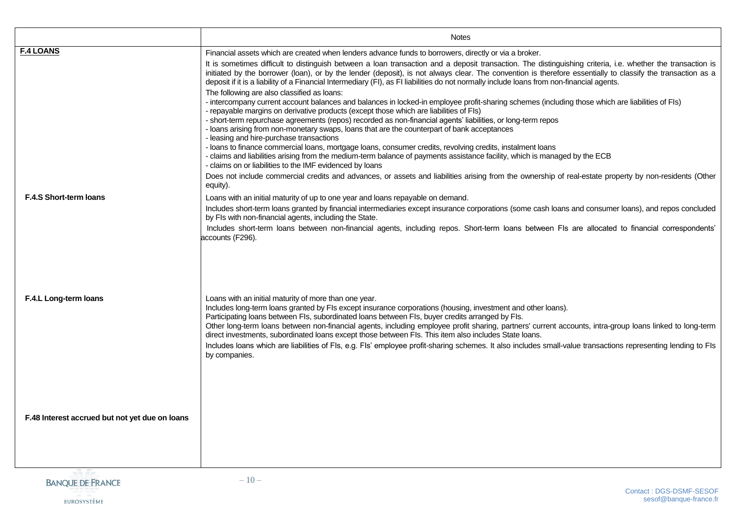|                                                | <b>Notes</b>                                                                                                                                                                                                                                                                                                                                                                                                                                                                                                                                                                                                                                                                                                                                                                                                                                                                                                                                                                                                                                                                                                                                                                                                                                                                                                                                                                                                                                                                                                                                                                                               |
|------------------------------------------------|------------------------------------------------------------------------------------------------------------------------------------------------------------------------------------------------------------------------------------------------------------------------------------------------------------------------------------------------------------------------------------------------------------------------------------------------------------------------------------------------------------------------------------------------------------------------------------------------------------------------------------------------------------------------------------------------------------------------------------------------------------------------------------------------------------------------------------------------------------------------------------------------------------------------------------------------------------------------------------------------------------------------------------------------------------------------------------------------------------------------------------------------------------------------------------------------------------------------------------------------------------------------------------------------------------------------------------------------------------------------------------------------------------------------------------------------------------------------------------------------------------------------------------------------------------------------------------------------------------|
| <b>F.4 LOANS</b>                               | Financial assets which are created when lenders advance funds to borrowers, directly or via a broker.<br>It is sometimes difficult to distinguish between a loan transaction and a deposit transaction. The distinguishing criteria, i.e. whether the transaction is<br>initiated by the borrower (loan), or by the lender (deposit), is not always clear. The convention is therefore essentially to classify the transaction as a<br>deposit if it is a liability of a Financial Intermediary (FI), as FI liabilities do not normally include loans from non-financial agents.<br>The following are also classified as loans:<br>- intercompany current account balances and balances in locked-in employee profit-sharing schemes (including those which are liabilities of FIs)<br>- repayable margins on derivative products (except those which are liabilities of FIs)<br>- short-term repurchase agreements (repos) recorded as non-financial agents' liabilities, or long-term repos<br>- loans arising from non-monetary swaps, loans that are the counterpart of bank acceptances<br>- leasing and hire-purchase transactions<br>- loans to finance commercial loans, mortgage loans, consumer credits, revolving credits, instalment loans<br>- claims and liabilities arising from the medium-term balance of payments assistance facility, which is managed by the ECB<br>- claims on or liabilities to the IMF evidenced by loans<br>Does not include commercial credits and advances, or assets and liabilities arising from the ownership of real-estate property by non-residents (Other |
| <b>F.4.S Short-term loans</b>                  | equity).<br>Loans with an initial maturity of up to one year and loans repayable on demand.<br>Includes short-term loans granted by financial intermediaries except insurance corporations (some cash loans and consumer loans), and repos concluded<br>by FIs with non-financial agents, including the State.<br>Includes short-term loans between non-financial agents, including repos. Short-term loans between FIs are allocated to financial correspondents'                                                                                                                                                                                                                                                                                                                                                                                                                                                                                                                                                                                                                                                                                                                                                                                                                                                                                                                                                                                                                                                                                                                                         |
| F.4.L Long-term loans                          | accounts (F296).<br>Loans with an initial maturity of more than one year.<br>Includes long-term loans granted by FIs except insurance corporations (housing, investment and other loans).<br>Participating loans between Fls, subordinated loans between Fls, buyer credits arranged by Fls.<br>Other long-term loans between non-financial agents, including employee profit sharing, partners' current accounts, intra-group loans linked to long-term<br>direct investments, subordinated loans except those between FIs. This item also includes State loans.<br>Includes loans which are liabilities of Fls, e.g. Fls' employee profit-sharing schemes. It also includes small-value transactions representing lending to Fls<br>by companies.                                                                                                                                                                                                                                                                                                                                                                                                                                                                                                                                                                                                                                                                                                                                                                                                                                                        |
| F.48 Interest accrued but not yet due on loans |                                                                                                                                                                                                                                                                                                                                                                                                                                                                                                                                                                                                                                                                                                                                                                                                                                                                                                                                                                                                                                                                                                                                                                                                                                                                                                                                                                                                                                                                                                                                                                                                            |
| -3 <i>E-</i>                                   | 1 <sub>0</sub>                                                                                                                                                                                                                                                                                                                                                                                                                                                                                                                                                                                                                                                                                                                                                                                                                                                                                                                                                                                                                                                                                                                                                                                                                                                                                                                                                                                                                                                                                                                                                                                             |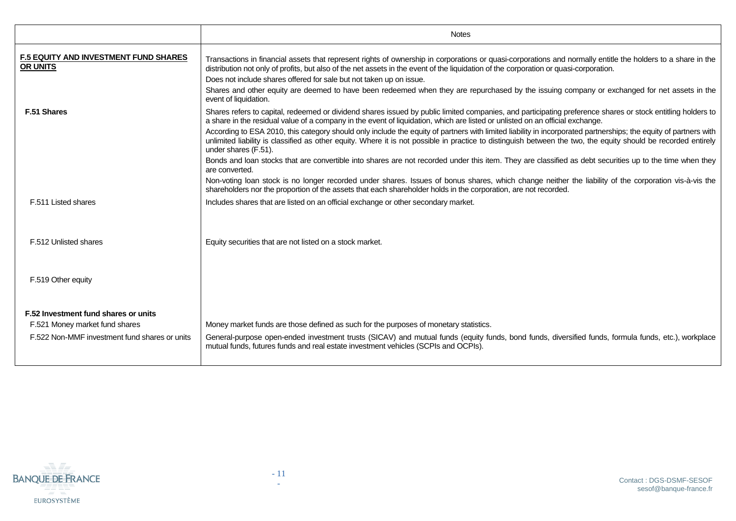|                                                                                                                         | <b>Notes</b>                                                                                                                                                                                                                                                                                                                                                                                                                                                                                                                                                                                                                                                                                                                                                                                                           |
|-------------------------------------------------------------------------------------------------------------------------|------------------------------------------------------------------------------------------------------------------------------------------------------------------------------------------------------------------------------------------------------------------------------------------------------------------------------------------------------------------------------------------------------------------------------------------------------------------------------------------------------------------------------------------------------------------------------------------------------------------------------------------------------------------------------------------------------------------------------------------------------------------------------------------------------------------------|
| <b>F.5 EQUITY AND INVESTMENT FUND SHARES</b><br><b>OR UNITS</b>                                                         | Transactions in financial assets that represent rights of ownership in corporations or quasi-corporations and normally entitle the holders to a share in the<br>distribution not only of profits, but also of the net assets in the event of the liquidation of the corporation or quasi-corporation.<br>Does not include shares offered for sale but not taken up on issue.<br>Shares and other equity are deemed to have been redeemed when they are repurchased by the issuing company or exchanged for net assets in the<br>event of liquidation.                                                                                                                                                                                                                                                                  |
| F.51 Shares                                                                                                             | Shares refers to capital, redeemed or dividend shares issued by public limited companies, and participating preference shares or stock entitling holders to<br>a share in the residual value of a company in the event of liquidation, which are listed or unlisted on an official exchange.<br>According to ESA 2010, this category should only include the equity of partners with limited liability in incorporated partnerships; the equity of partners with<br>unlimited liability is classified as other equity. Where it is not possible in practice to distinguish between the two, the equity should be recorded entirely<br>under shares (F.51).<br>Bonds and loan stocks that are convertible into shares are not recorded under this item. They are classified as debt securities up to the time when they |
|                                                                                                                         | are converted.<br>Non-voting loan stock is no longer recorded under shares. Issues of bonus shares, which change neither the liability of the corporation vis-à-vis the<br>shareholders nor the proportion of the assets that each shareholder holds in the corporation, are not recorded.                                                                                                                                                                                                                                                                                                                                                                                                                                                                                                                             |
| F.511 Listed shares                                                                                                     | Includes shares that are listed on an official exchange or other secondary market.                                                                                                                                                                                                                                                                                                                                                                                                                                                                                                                                                                                                                                                                                                                                     |
| F.512 Unlisted shares                                                                                                   | Equity securities that are not listed on a stock market.                                                                                                                                                                                                                                                                                                                                                                                                                                                                                                                                                                                                                                                                                                                                                               |
| F.519 Other equity                                                                                                      |                                                                                                                                                                                                                                                                                                                                                                                                                                                                                                                                                                                                                                                                                                                                                                                                                        |
| F.52 Investment fund shares or units<br>F.521 Money market fund shares<br>F.522 Non-MMF investment fund shares or units | Money market funds are those defined as such for the purposes of monetary statistics.<br>General-purpose open-ended investment trusts (SICAV) and mutual funds (equity funds, bond funds, diversified funds, formula funds, etc.), workplace<br>mutual funds, futures funds and real estate investment vehicles (SCPIs and OCPIs).                                                                                                                                                                                                                                                                                                                                                                                                                                                                                     |

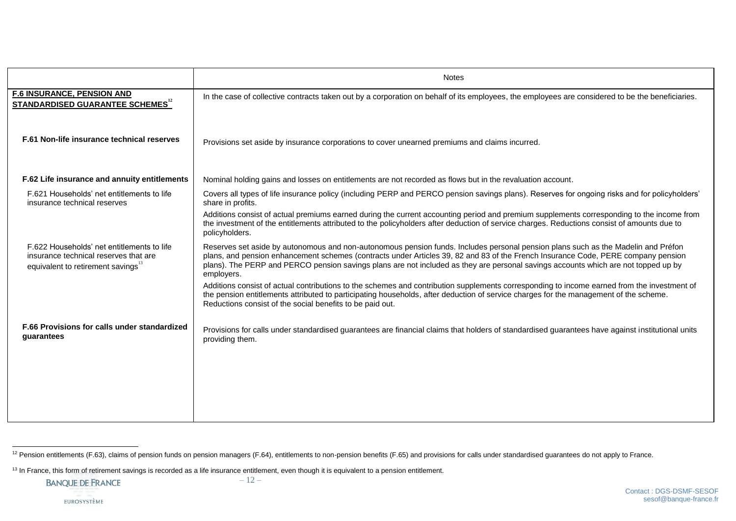|                                                                                                                         | <b>Notes</b>                                                                                                                                                                                                                                                                                                                                                                                                                                                                                                                                                              |
|-------------------------------------------------------------------------------------------------------------------------|---------------------------------------------------------------------------------------------------------------------------------------------------------------------------------------------------------------------------------------------------------------------------------------------------------------------------------------------------------------------------------------------------------------------------------------------------------------------------------------------------------------------------------------------------------------------------|
| <b>F.6 INSURANCE, PENSION AND</b><br><b>STANDARDISED GUARANTEE SCHEMES</b> <sup>12</sup>                                | In the case of collective contracts taken out by a corporation on behalf of its employees, the employees are considered to be the beneficiaries.                                                                                                                                                                                                                                                                                                                                                                                                                          |
| F.61 Non-life insurance technical reserves                                                                              | Provisions set aside by insurance corporations to cover unearned premiums and claims incurred.                                                                                                                                                                                                                                                                                                                                                                                                                                                                            |
| F.62 Life insurance and annuity entitlements                                                                            | Nominal holding gains and losses on entitlements are not recorded as flows but in the revaluation account.                                                                                                                                                                                                                                                                                                                                                                                                                                                                |
| F.621 Households' net entitlements to life<br>insurance technical reserves                                              | Covers all types of life insurance policy (including PERP and PERCO pension savings plans). Reserves for ongoing risks and for policyholders'<br>share in profits.                                                                                                                                                                                                                                                                                                                                                                                                        |
|                                                                                                                         | Additions consist of actual premiums earned during the current accounting period and premium supplements corresponding to the income from<br>the investment of the entitlements attributed to the policyholders after deduction of service charges. Reductions consist of amounts due to<br>policyholders.                                                                                                                                                                                                                                                                |
| F.622 Households' net entitlements to life<br>insurance technical reserves that are<br>equivalent to retirement savings | Reserves set aside by autonomous and non-autonomous pension funds. Includes personal pension plans such as the Madelin and Préfon<br>plans, and pension enhancement schemes (contracts under Articles 39, 82 and 83 of the French Insurance Code, PERE company pension<br>plans). The PERP and PERCO pension savings plans are not included as they are personal savings accounts which are not topped up by<br>employers.<br>Additions consist of actual contributions to the schemes and contribution supplements corresponding to income earned from the investment of |
|                                                                                                                         | the pension entitlements attributed to participating households, after deduction of service charges for the management of the scheme.<br>Reductions consist of the social benefits to be paid out.                                                                                                                                                                                                                                                                                                                                                                        |
| F.66 Provisions for calls under standardized<br>guarantees                                                              | Provisions for calls under standardised guarantees are financial claims that holders of standardised guarantees have against institutional units<br>providing them.                                                                                                                                                                                                                                                                                                                                                                                                       |
|                                                                                                                         |                                                                                                                                                                                                                                                                                                                                                                                                                                                                                                                                                                           |
|                                                                                                                         |                                                                                                                                                                                                                                                                                                                                                                                                                                                                                                                                                                           |
|                                                                                                                         |                                                                                                                                                                                                                                                                                                                                                                                                                                                                                                                                                                           |

l <sup>12</sup> Pension entitlements (F.63), claims of pension funds on pension managers (F.64), entitlements to non-pension benefits (F.65) and provisions for calls under standardised guarantees do not apply to France.

<sup>&</sup>lt;sup>13</sup> In France, this form of retirement savings is recorded as a life insurance entitlement, even though it is equivalent to a pension entitlement.